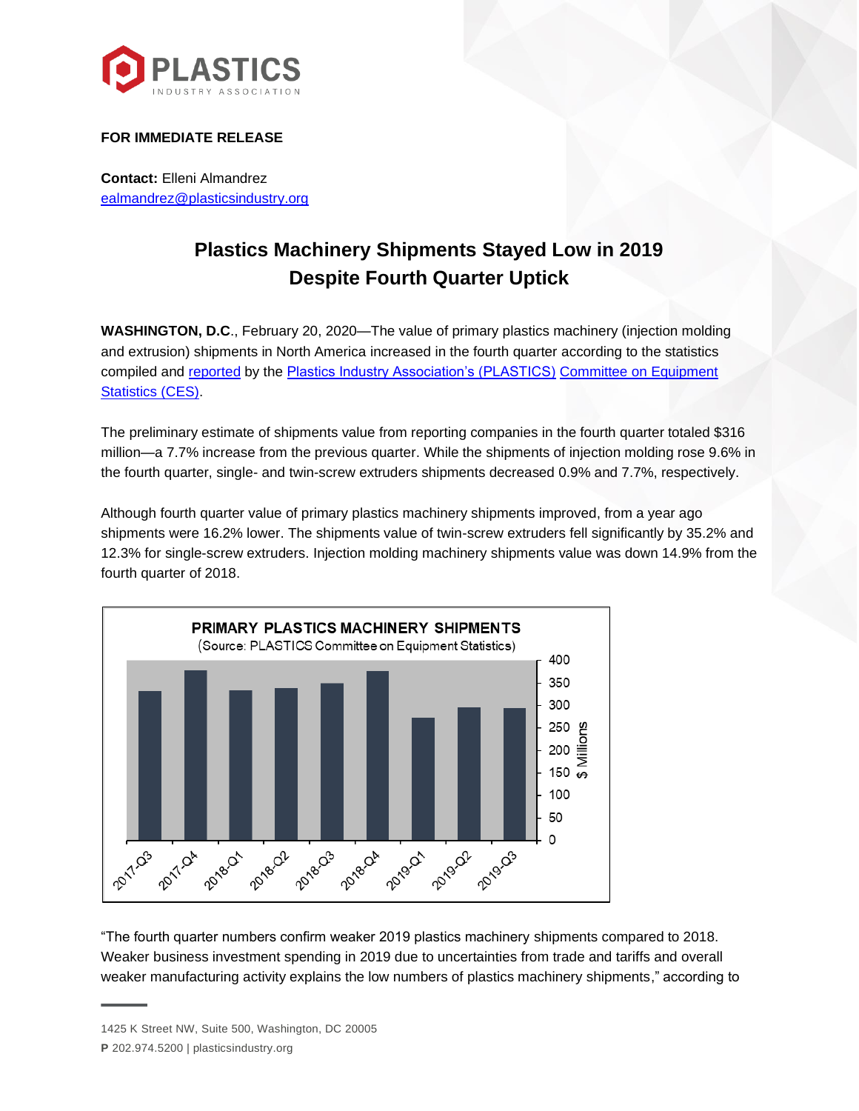

## **FOR IMMEDIATE RELEASE**

**Contact:** Elleni Almandrez [ealmandrez@plasticsindustry.org](mailto:ealmandrez@plasticsindustry.org)

# **Plastics Machinery Shipments Stayed Low in 2019 Despite Fourth Quarter Uptick**

**WASHINGTON, D.C**., February 20, 2020—The value of primary plastics machinery (injection molding and extrusion) shipments in North America increased in the fourth quarter according to the statistics compiled and [reported](https://www.plasticsindustry.org/supply-chain/equipment-moldmakers/committee-equipment-statistics-ces) by the [Plastics Industry Association's \(PLASTICS\)](http://plasticsindustry.org/) [Committee on Equipment](https://www.plasticsindustry.org/supply-chain/equipment-moldmakers/committee-equipment-statistics-ces)  [Statistics \(CES\).](https://www.plasticsindustry.org/supply-chain/equipment-moldmakers/committee-equipment-statistics-ces)

The preliminary estimate of shipments value from reporting companies in the fourth quarter totaled \$316 million—a 7.7% increase from the previous quarter. While the shipments of injection molding rose 9.6% in the fourth quarter, single- and twin-screw extruders shipments decreased 0.9% and 7.7%, respectively.

Although fourth quarter value of primary plastics machinery shipments improved, from a year ago shipments were 16.2% lower. The shipments value of twin-screw extruders fell significantly by 35.2% and 12.3% for single-screw extruders. Injection molding machinery shipments value was down 14.9% from the fourth quarter of 2018.



"The fourth quarter numbers confirm weaker 2019 plastics machinery shipments compared to 2018. Weaker business investment spending in 2019 due to uncertainties from trade and tariffs and overall weaker manufacturing activity explains the low numbers of plastics machinery shipments," according to

<sup>1425</sup> K Street NW, Suite 500, Washington, DC 20005

**P** 202.974.5200 | plasticsindustry.org